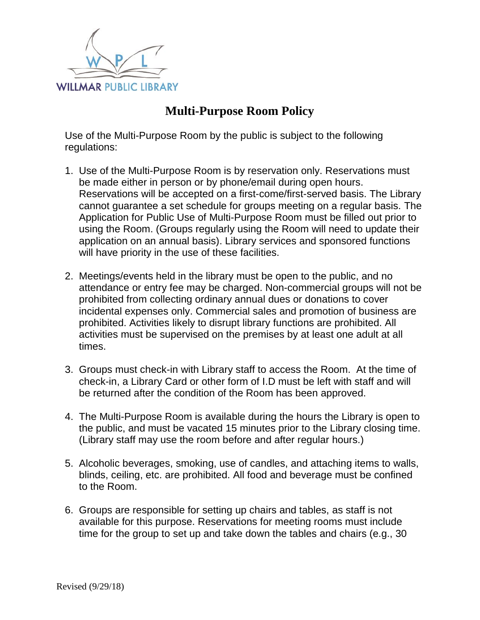

## **Multi-Purpose Room Policy**

Use of the Multi-Purpose Room by the public is subject to the following regulations:

- 1. Use of the Multi-Purpose Room is by reservation only. Reservations must be made either in person or by phone/email during open hours. Reservations will be accepted on a first-come/first-served basis. The Library cannot guarantee a set schedule for groups meeting on a regular basis. The Application for Public Use of Multi-Purpose Room must be filled out prior to using the Room. (Groups regularly using the Room will need to update their application on an annual basis). Library services and sponsored functions will have priority in the use of these facilities.
- 2. Meetings/events held in the library must be open to the public, and no attendance or entry fee may be charged. Non-commercial groups will not be prohibited from collecting ordinary annual dues or donations to cover incidental expenses only. Commercial sales and promotion of business are prohibited. Activities likely to disrupt library functions are prohibited. All activities must be supervised on the premises by at least one adult at all times.
- 3. Groups must check-in with Library staff to access the Room. At the time of check-in, a Library Card or other form of I.D must be left with staff and will be returned after the condition of the Room has been approved.
- 4. The Multi-Purpose Room is available during the hours the Library is open to the public, and must be vacated 15 minutes prior to the Library closing time. (Library staff may use the room before and after regular hours.)
- 5. Alcoholic beverages, smoking, use of candles, and attaching items to walls, blinds, ceiling, etc. are prohibited. All food and beverage must be confined to the Room.
- 6. Groups are responsible for setting up chairs and tables, as staff is not available for this purpose. Reservations for meeting rooms must include time for the group to set up and take down the tables and chairs (e.g., 30